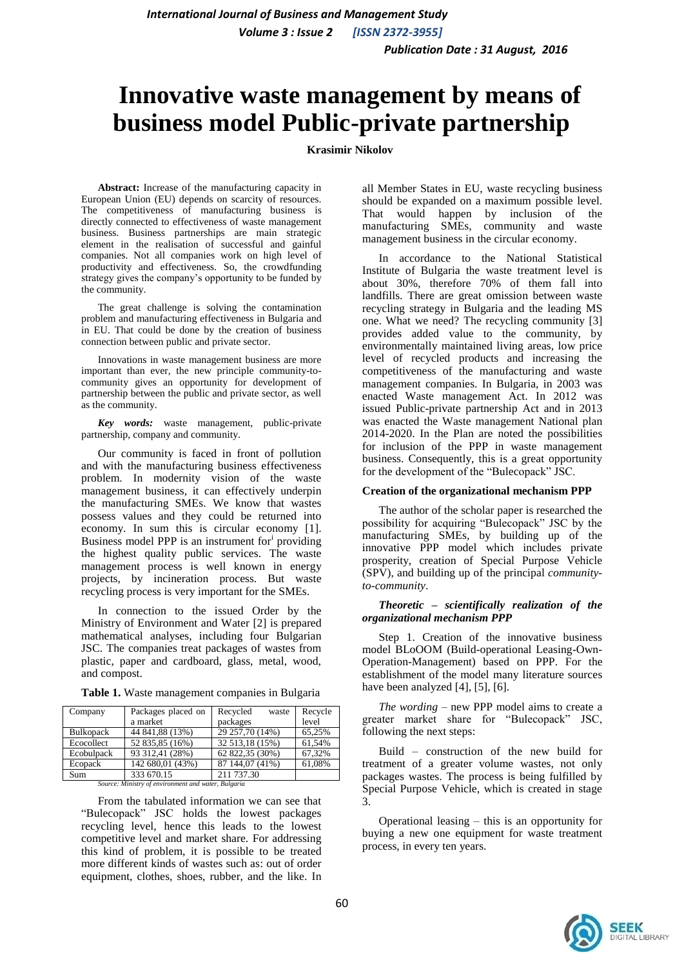# **Innovative waste management by means of business model Public-private partnership**

# **Krasimir Nikolov**

**Abstract:** Increase of the manufacturing capacity in European Union (EU) depends on scarcity of resources. The competitiveness of manufacturing business is directly connected to effectiveness of waste management business. Business partnerships are main strategic element in the realisation of successful and gainful companies. Not all companies work on high level of productivity and effectiveness. So, the crowdfunding strategy gives the company's opportunity to be funded by the community.

The great challenge is solving the contamination problem and manufacturing effectiveness in Bulgaria and in EU. That could be done by the creation of business connection between public and private sector.

Innovations in waste management business are more important than ever, the new principle community-tocommunity gives an opportunity for development of partnership between the public and private sector, as well as the community.

*Key words:* waste management, public-private partnership, company and community.

Our community is faced in front of pollution and with the manufacturing business effectiveness problem. In modernity vision of the waste management business, it can effectively underpin the manufacturing SMEs. We know that wastes possess values and they could be returned into economy. In sum this is circular economy [1]. Business model PPP is an instrument for providing the highest quality public services. The waste management process is well known in energy projects, by incineration process. But waste recycling process is very important for the SMEs.

In connection to the issued Order by the Ministry of Environment and Water [2] is prepared mathematical analyses, including four Bulgarian JSC. The companies treat packages of wastes from plastic, paper and cardboard, glass, metal, wood, and compost.

| Company          | Packages placed on | Recycled<br>waste | Recycle |
|------------------|--------------------|-------------------|---------|
|                  | a market           | packages          | level   |
| <b>Bulkopack</b> | 44 841,88 (13%)    | 29 257,70 (14%)   | 65.25%  |
| Ecocollect       | 52 835,85 (16%)    | 32 513,18 (15%)   | 61,54%  |
| Ecobulpack       | 93 312,41 (28%)    | 62 822,35 (30%)   | 67,32%  |
| Ecopack          | 142 680,01 (43%)   | 87 144,07 (41%)   | 61,08%  |
| Sum              | 333 670.15         | 211 737.30        |         |

**Table 1.** Waste management companies in Bulgaria

*Source: Ministry of environment and water, Bulgaria*

From the tabulated information we can see that "Bulecopack" JSC holds the lowest packages recycling level, hence this leads to the lowest competitive level and market share. For addressing this kind of problem, it is possible to be treated more different kinds of wastes such as: out of order equipment, clothes, shoes, rubber, and the like. In

all Member States in EU, waste recycling business should be expanded on a maximum possible level. That would happen by inclusion of the manufacturing SMEs, community and waste management business in the circular economy.

In accordance to the National Statistical Institute of Bulgaria the waste treatment level is about 30%, therefore 70% of them fall into landfills. There are great omission between waste recycling strategy in Bulgaria and the leading MS one. What we need? Тhe recycling community [3] provides added value to the community, by environmentally maintained living areas, low price level of recycled products and increasing the competitiveness of the manufacturing and waste management companies. In Bulgaria, in 2003 was enacted Waste management Act. In 2012 was issued Public-private partnership Act and in 2013 was enacted the Waste management National plan 2014-2020. In the Plan are noted the possibilities for inclusion of the PPP in waste management business. Consequently, this is a great opportunity for the development of the "Bulecopack" JSC.

## **Creation of the organizational mechanism PPP**

The author of the scholar paper is researched the possibility for acquiring "Bulecopack" JSC by the manufacturing SMEs, by building up of the innovative PPP model which includes private prosperity, creation of Special Purpose Vehicle (SPV), and building up of the principal *communityto-community*.

#### *Theoretic – scientifically realization of the organizational mechanism PPP*

Step 1. Creation of the innovative business model BLoOOM (Build-operational Leasing-Own-Operation-Management) based on PPP. For the establishment of the model many literature sources have been analyzed [4], [5], [6].

*The wording –* new PPP model aims to create a greater market share for "Bulecopack" JSC, following the next steps:

Build – construction of the new build for treatment of a greater volume wastes, not only packages wastes. The process is being fulfilled by Special Purpose Vehicle, which is created in stage 3.

Operational leasing – this is an opportunity for buying a new one equipment for waste treatment process, in every ten years.

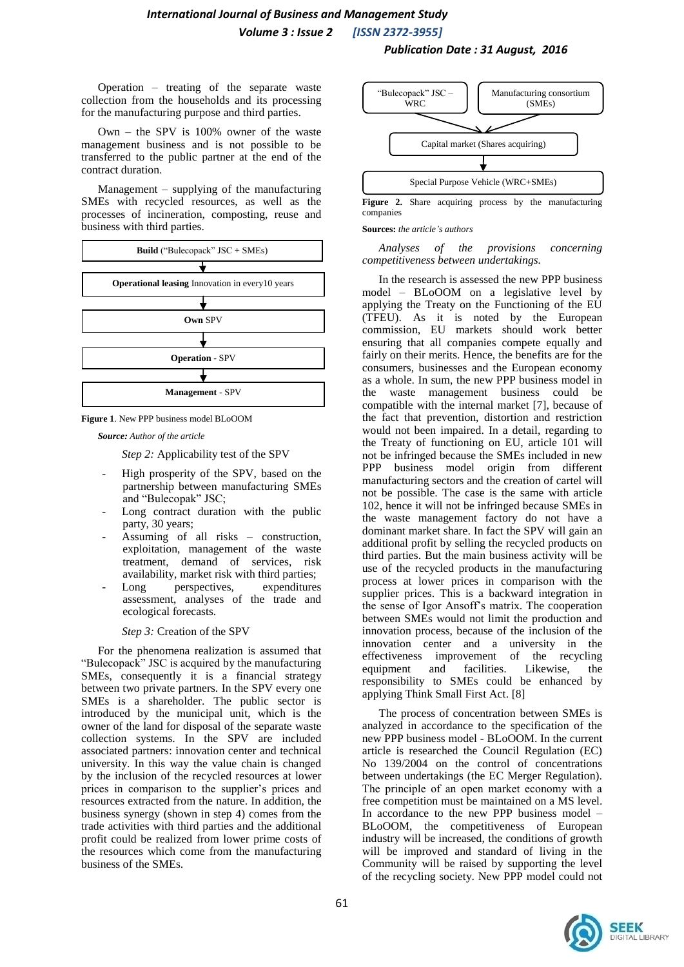# *International Journal of Business and Management Study*

 *Volume 3 : Issue 2 [ISSN 2372-3955]*

Operation – treating of the separate waste collection from the households and its processing for the manufacturing purpose and third parties.

Own – the SPV is 100% owner of the waste management business and is not possible to be transferred to the public partner at the end of the contract duration.

Management – supplying of the manufacturing SMEs with recycled resources, as well as the processes of incineration, composting, reuse and business with third parties.





*Source: Author of the article*

*Step 2:* Applicability test of the SPV

- High prosperity of the SPV, based on the partnership between manufacturing SMEs and "Bulecopak" JSC;
- Long contract duration with the public party, 30 years;
- Assuming of all risks construction, exploitation, management of the waste treatment, demand of services, risk availability, market risk with third parties;
- Long perspectives, expenditures assessment, analyses of the trade and ecological forecasts.

*Step 3:* Creation of the SPV

For the phenomena realization is assumed that "Bulecopack" JSC is acquired by the manufacturing SMEs, consequently it is a financial strategy between two private partners. In the SPV every one SMEs is a shareholder. The public sector is introduced by the municipal unit, which is the owner of the land for disposal of the separate waste collection systems. In the SPV are included associated partners: innovation center and technical university. In this way the value chain is changed by the inclusion of the recycled resources at lower prices in comparison to the supplier's prices and resources extracted from the nature. In addition, the business synergy (shown in step 4) comes from the trade activities with third parties and the additional profit could be realized from lower prime costs of the resources which come from the manufacturing business of the SMEs.



 *Publication Date : 31 August, 2016*

Figure 2. Share acquiring process by the manufacturing companies

#### **Sources:** *the article's authors*

*Analyses of the provisions concerning competitiveness between undertakings.* 

In the research is assessed the new PPP business model – BLoOOM on a legislative level by applying the Treaty on the Functioning of the EU (TFEU). As it is noted by the European commission, EU markets should work better ensuring that all companies compete equally and fairly on their merits. Hence, the benefits are for the consumers, businesses and the European economy as a whole. In sum, the new PPP business model in the waste management business could be compatible with the internal market [7], because of the fact that prevention, distortion and restriction would not been impaired. In a detail, regarding to the Treaty of functioning on EU, article 101 will not be infringed because the SMEs included in new PPP business model origin from different manufacturing sectors and the creation of cartel will not be possible. The case is the same with article 102, hence it will not be infringed because SMEs in the waste management factory do not have a dominant market share. In fact the SPV will gain an additional profit by selling the recycled products on third parties. But the main business activity will be use of the recycled products in the manufacturing process at lower prices in comparison with the supplier prices. This is a backward integration in the sense of Igor Ansoff's matrix. The cooperation between SMEs would not limit the production and innovation process, because of the inclusion of the innovation center and a university in the effectiveness improvement of the recycling equipment and facilities. Likewise, the responsibility to SMEs could be enhanced by applying Think Small First Act. [8]

The process of concentration between SMEs is analyzed in accordance to the specification of the new PPP business model - BLoOOM. In the current article is researched the Council Regulation (EC) No 139/2004 on the control of concentrations between undertakings (the EC Merger Regulation). The principle of an open market economy with а free competition must be maintained on a MS level. In accordance to the new PPP business model – BLoOOM, the competitiveness of European industry will be increased, the conditions of growth will be improved and standard of living in the Community will be raised by supporting the level of the recycling society. New PPP model could not

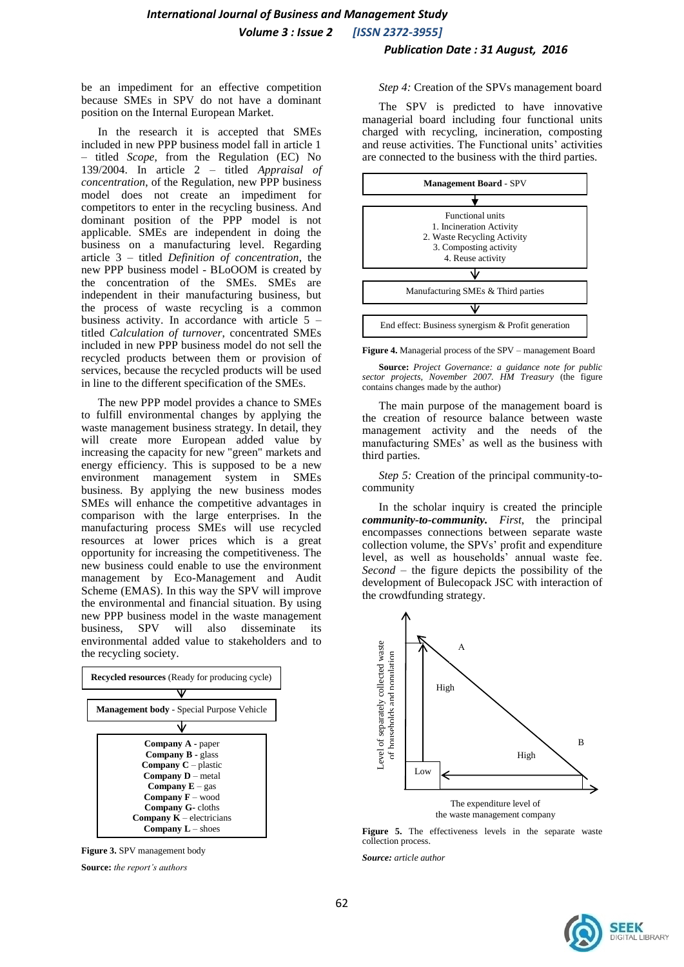be an impediment for an effective competition because SMEs in SPV do not have a dominant position on the Internal European Market.

In the research it is accepted that SMEs included in new PPP business model fall in article 1 – titled *Scope*, from the Regulation (EC) No 139/2004. In article 2 – titled *Appraisal of concentration*, of the Regulation, new PPP business model does not create an impediment for competitors to enter in the recycling business. And dominant position of the PPP model is not applicable. SMEs are independent in doing the business on a manufacturing level. Regarding article 3 – titled *Definition of concentration*, the new PPP business model - BLoOOM is created by the concentration of the SMEs. SMEs are independent in their manufacturing business, but the process of waste recycling is a common business activity. In accordance with article  $5$ titled *Calculation of turnover*, concentrated SMEs included in new PPP business model do not sell the recycled products between them or provision of services, because the recycled products will be used in line to the different specification of the SMEs.

The new PPP model provides a chance to SMEs to fulfill environmental changes by applying the waste management business strategy. In detail, they will create more European added value by increasing the capacity for new "green" markets and energy efficiency. This is supposed to be a new environment management system in SMEs business. By applying the new business modes SMEs will enhance the competitive advantages in comparison with the large enterprises. In the manufacturing process SMEs will use recycled resources at lower prices which is a great opportunity for increasing the competitiveness. The new business could enable to use the environment management by Eco-Management and Audit Scheme (EMAS). In this way the SPV will improve the environmental and financial situation. By using new PPP business model in the waste management business, SPV will also disseminate its environmental added value to stakeholders and to the recycling society.



**Figure 3.** SPV management body **Source:** *the report's authors* 

#### *Step 4:* Creation of the SPVs management board

The SPV is predicted to have innovative managerial board including four functional units charged with recycling, incineration, composting and reuse activities. The Functional units' activities are connected to the business with the third parties.



**Figure 4.** Managerial process of the SPV – management Board

**Source:** *Project Governance: a guidance note for public sector projects, November 2007. HM Treasury* (the figure contains changes made by the author)

The main purpose of the management board is the creation of resource balance between waste management activity and the needs of the manufacturing SMEs' as well as the business with third parties.

*Step 5:* Creation of the principal community-tocommunity

In the scholar inquiry is created the principle *community-to-community. First*, the principal encompasses connections between separate waste collection volume, the SPVs' profit and expenditure level, as well as households' annual waste fee. *Second –* the figure depicts the possibility of the development of Bulecopack JSC with interaction of the crowdfunding strategy.



**Figure 5.** The effectiveness levels in the separate waste collection process.

*Source: article author*

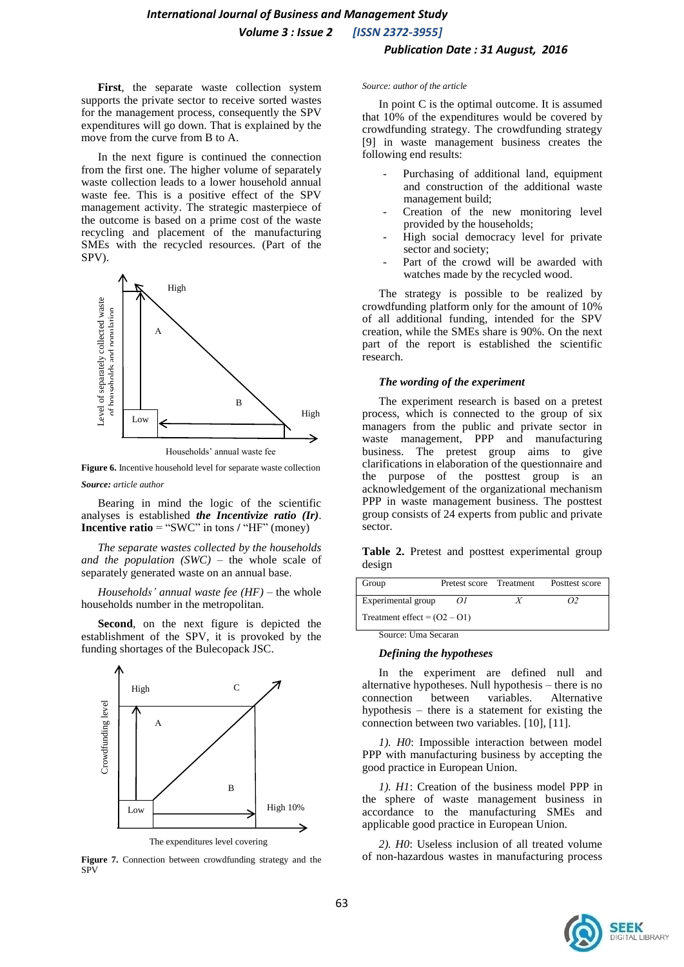**First**, the separate waste collection system supports the private sector to receive sorted wastes for the management process, consequently the SPV expenditures will go down. That is explained by the move from the curve from B to A.

In the next figure is continued the connection from the first one. The higher volume of separately waste collection leads to a lower household annual waste fee. This is a positive effect of the SPV management activity. The strategic masterpiece of the outcome is based on a prime cost of the waste recycling and placement of the manufacturing SMEs with the recycled resources. (Part of the SPV).



**Figure 6.** Incentive household level for separate waste collection

*Source: article author*

Bearing in mind the logic of the scientific analyses is established *the Incentivize ratio (Ir)*. **Incentive ratio** = "SWC" in tons **/** "HF" (money)

*The separate wastes collected by the households and the population (SWC)* – the whole scale of separately generated waste on an annual base.

*Households' annual waste fee (HF)* – the whole households number in the metropolitan.

**Second**, on the next figure is depicted the establishment of the SPV, it is provoked by the funding shortages of the Bulecopack JSC.



The expenditures level covering

**Figure 7.** Connection between crowdfunding strategy and the SPV

#### *Source: author of the article*

In point C is the optimal outcome. It is assumed that 10% of the expenditures would be covered by crowdfunding strategy. The crowdfunding strategy [9] in waste management business creates the following end results:

- Purchasing of additional land, equipment and construction of the additional waste management build;
- Creation of the new monitoring level provided by the households;
- High social democracy level for private sector and society;
- Part of the crowd will be awarded with watches made by the recycled wood.

The strategy is possible to be realized by crowdfunding platform only for the amount of 10% of all additional funding, intended for the SPV creation, while the SMEs share is 90%. On the next part of the report is established the scientific research.

# *The wording of the experiment*

The experiment research is based on a pretest process, which is connected to the group of six managers from the public and private sector in waste management, PPP and manufacturing business. The pretest group aims to give clarifications in elaboration of the questionnaire and the purpose of the posttest group is an acknowledgement of the organizational mechanism PPP in waste management business. The posttest group consists of 24 experts from public and private sector.

Table 2. Pretest and posttest experimental group design

| Group                          | Pretest score Treatment |  | Posttest score |
|--------------------------------|-------------------------|--|----------------|
| Experimental group             | ΩΙ                      |  |                |
| Treatment effect = $(02 - 01)$ |                         |  |                |

Source: Uma Secaran

#### *Defining the hypotheses*

In the experiment are defined null and alternative hypotheses. Null hypothesis – there is no connection between variables. Alternative hypothesis – there is a statement for existing the connection between two variables. [10], [11].

*1). H0*: Impossible interaction between model PPP with manufacturing business by accepting the good practice in European Union.

*1). H1*: Creation of the business model PPP in the sphere of waste management business in accordance to the manufacturing SMEs and applicable good practice in European Union.

*2). H0*: Useless inclusion of all treated volume of non-hazardous wastes in manufacturing process

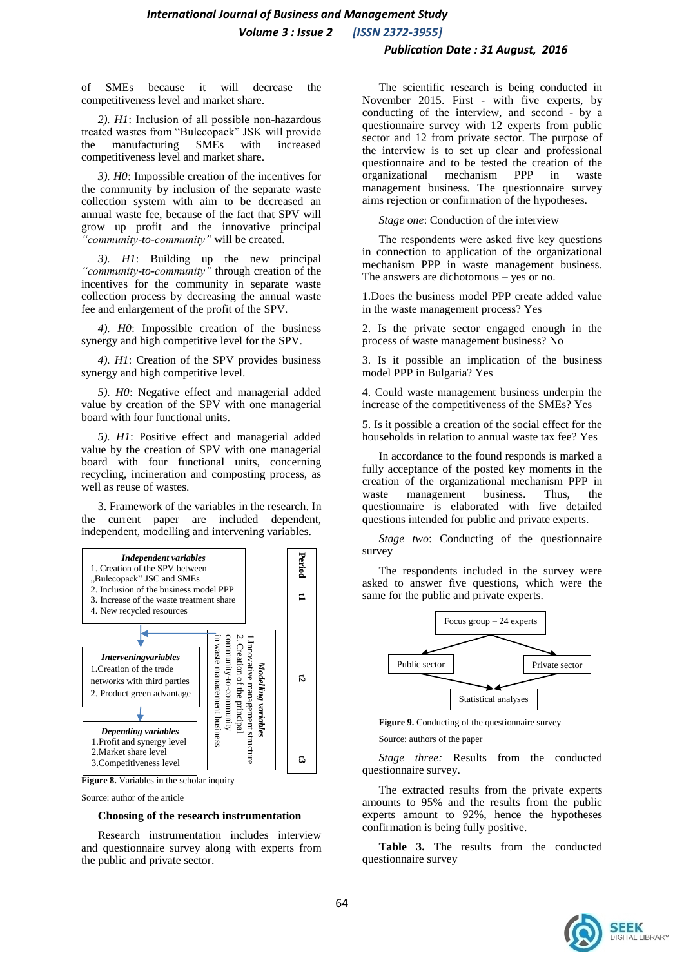of SMEs because it will decrease the competitiveness level and market share.

*2). H1*: Inclusion of all possible non-hazardous treated wastes from "Bulecopack" JSK will provide the manufacturing SMEs with increased competitiveness level and market share.

*3). H0*: Impossible creation of the incentives for the community by inclusion of the separate waste collection system with aim to be decreased an annual waste fee, because of the fact that SPV will grow up profit and the innovative principal *"community-to-community"* will be created.

*3). H1*: Building up the new principal *"community-to-community"* through creation of the incentives for the community in separate waste collection process by decreasing the annual waste fee and enlargement of the profit of the SPV.

*4). H0*: Impossible creation of the business synergy and high competitive level for the SPV.

*4). H1*: Creation of the SPV provides business synergy and high competitive level.

*5). H0*: Negative effect and managerial added value by creation of the SPV with one managerial board with four functional units.

*5). H1*: Positive effect and managerial added value by the creation of SPV with one managerial board with four functional units, concerning recycling, incineration and composting process, as well as reuse of wastes.

3. Framework of the variables in the research. In the current paper are included dependent, independent, modelling and intervening variables.





Source: author of the article

#### **Choosing of the research instrumentation**

Research instrumentation includes interview and questionnaire survey along with experts from the public and private sector.

The scientific research is being conducted in November 2015. First - with five experts, by conducting of the interview, and second - by a questionnaire survey with 12 experts from public sector and 12 from private sector. The purpose of the interview is to set up clear and professional questionnaire and to be tested the creation of the organizational mechanism PPP in waste management business. The questionnaire survey aims rejection or confirmation of the hypotheses.

*Stage one*: Conduction of the interview

The respondents were asked five key questions in connection to application of the organizational mechanism PPP in waste management business. The answers are dichotomous – yes or no.

1.Does the business model PPP create added value in the waste management process? Yes

2. Is the private sector engaged enough in the process of waste management business? No

3. Is it possible an implication of the business model PPP in Bulgaria? Yes

4. Could waste management business underpin the increase of the competitiveness of the SMEs? Yes

5. Is it possible a creation of the social effect for the households in relation to annual waste tax fee? Yes

In accordance to the found responds is marked a fully acceptance of the posted key moments in the creation of the organizational mechanism PPP in waste management business. Thus, the questionnaire is elaborated with five detailed questions intended for public and private experts.

*Stage two*: Conducting of the questionnaire survey

The respondents included in the survey were asked to answer five questions, which were the same for the public and private experts.



**Figure 9.** Conducting of the questionnaire survey

Source: authors of the paper

*Stage three:* Results from the conducted questionnaire survey.

The extracted results from the private experts amounts to 95% and the results from the public experts amount to 92%, hence the hypotheses confirmation is being fully positive.

**Table 3.** The results from the conducted questionnaire survey